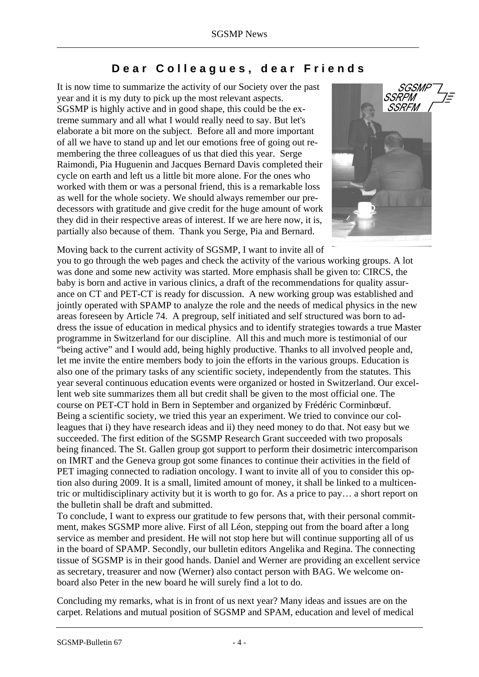## **Dear Colleagues, dear Friends**

It is now time to summarize the activity of our Society over the past year and it is my duty to pick up the most relevant aspects. SGSMP is highly active and in good shape, this could be the extreme summary and all what I would really need to say. But let's elaborate a bit more on the subject. Before all and more important of all we have to stand up and let our emotions free of going out remembering the three colleagues of us that died this year. Serge Raimondi, Pia Huguenin and Jacques Bernard Davis completed their cycle on earth and left us a little bit more alone. For the ones who worked with them or was a personal friend, this is a remarkable loss as well for the whole society. We should always remember our predecessors with gratitude and give credit for the huge amount of work they did in their respective areas of interest. If we are here now, it is, partially also because of them. Thank you Serge, Pia and Bernard.



Moving back to the current activity of SGSMP, I want to invite all of you to go through the web pages and check the activity of the various working groups. A lot was done and some new activity was started. More emphasis shall be given to: CIRCS, the baby is born and active in various clinics, a draft of the recommendations for quality assurance on CT and PET-CT is ready for discussion. A new working group was established and jointly operated with SPAMP to analyze the role and the needs of medical physics in the new areas foreseen by Article 74. A pregroup, self initiated and self structured was born to address the issue of education in medical physics and to identify strategies towards a true Master programme in Switzerland for our discipline. All this and much more is testimonial of our "being active" and I would add, being highly productive. Thanks to all involved people and, let me invite the entire members body to join the efforts in the various groups. Education is also one of the primary tasks of any scientific society, independently from the statutes. This year several continuous education events were organized or hosted in Switzerland. Our excellent web site summarizes them all but credit shall be given to the most official one. The course on PET-CT hold in Bern in September and organized by Frédéric Corminbœuf. Being a scientific society, we tried this year an experiment. We tried to convince our colleagues that i) they have research ideas and ii) they need money to do that. Not easy but we succeeded. The first edition of the SGSMP Research Grant succeeded with two proposals being financed. The St. Gallen group got support to perform their dosimetric intercomparison on IMRT and the Geneva group got some finances to continue their activities in the field of PET imaging connected to radiation oncology. I want to invite all of you to consider this option also during 2009. It is a small, limited amount of money, it shall be linked to a multicentric or multidisciplinary activity but it is worth to go for. As a price to pay… a short report on the bulletin shall be draft and submitted.

To conclude, I want to express our gratitude to few persons that, with their personal commitment, makes SGSMP more alive. First of all Léon, stepping out from the board after a long service as member and president. He will not stop here but will continue supporting all of us in the board of SPAMP. Secondly, our bulletin editors Angelika and Regina. The connecting tissue of SGSMP is in their good hands. Daniel and Werner are providing an excellent service as secretary, treasurer and now (Werner) also contact person with BAG. We welcome onboard also Peter in the new board he will surely find a lot to do.

Concluding my remarks, what is in front of us next year? Many ideas and issues are on the carpet. Relations and mutual position of SGSMP and SPAM, education and level of medical